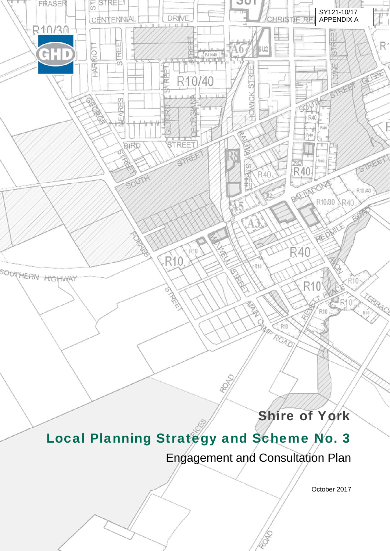# Shire of York

# Local Planning Strategy and Scheme No. 3

to de

 $\mathcal{S}$  - Consultation and Scheme No. 3 - Consultation and Scheme No. 3 - Consultation and Engagement in the Scheme No. 3 - Consultation and Engagement in the Scheme No. 3 - Consultation and Engagement in the Scheme No.

*A place of community and lifestyle* 

FRASER

R10/30

GHD

SOUTHERN HIGHWAY

STREE!

CENTENNIAL

ш

REI

茄

 $\omega$ 

**NEARE!** 

**BIRD** 

SOUTH

**DRIVE** 

5

Φ

單

R10/40

**PECR** 

**RACE** 

**R10** 

R<sub>10</sub>

**PEREE** 

STREET

ő

 $\frac{1}{1}$ R10A0

 $\overline{5}$ 

**HARIRIOT** 

es.

Engagement and Consultation Plan

October 2017

SY121-10/17 APPENDIX A

**STREET** 

i<br>I

R<sup>1</sup>

Έ

CEBE

SIREET

R10.40

JUI

 $\Lambda 6$ 

su<sub>2</sub>

STREE

HOWICK

R<sup>'40</sup>

È

 $R10$ 

**ANTISCO** 

BAR

 $R10$ 

ROAD

孞

RISTIF

RF

R40

 $-140$ 

BALLADONG

XГ R40

**R40** 

R10

R10

R.

R40

ΓIΓ

R40

R10.30 R40

REBAILE

Q.

**RECEIVED** 

R<sub>R10</sub>

 $CR10$ 

**TERRAC**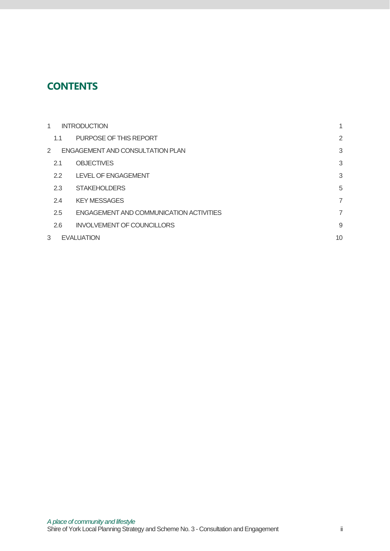## **CONTENTS**

| 1             | <b>INTRODUCTION</b>                     | $\mathbf{1}$   |
|---------------|-----------------------------------------|----------------|
| 1.1           | PURPOSE OF THIS REPORT                  | $\overline{2}$ |
| 2             | <b>ENGAGEMENT AND CONSULTATION PLAN</b> | 3              |
| 2.1           | <b>OBJECTIVES</b>                       | 3              |
| $2.2^{\circ}$ | <b>LEVEL OF ENGAGEMENT</b>              | 3              |
| 2.3           | <b>STAKEHOLDERS</b>                     | 5              |
| 2.4           | <b>KEY MESSAGES</b>                     | 7              |
| 2.5           | ENGAGEMENT AND COMMUNICATION ACTIVITIES | 7              |
| 2.6           | <b>INVOLVEMENT OF COUNCILLORS</b>       | 9              |
| 3             | <b>EVALUATION</b>                       | 10             |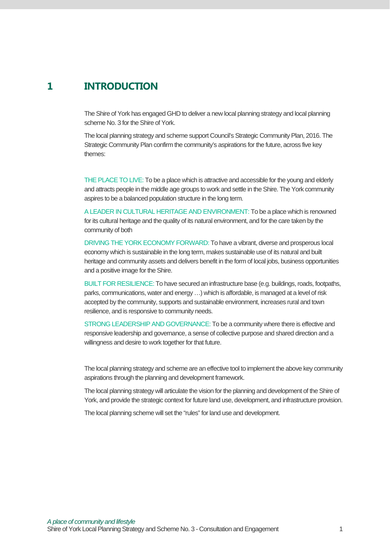## **1 INTRODUCTION**

The Shire of York has engaged GHD to deliver a new local planning strategy and local planning scheme No. 3 for the Shire of York.

The local planning strategy and scheme support Council's Strategic Community Plan, 2016. The Strategic Community Plan confirm the community's aspirations for the future, across five key themes:

THE PLACE TO LIVE: To be a place which is attractive and accessible for the young and elderly and attracts people in the middle age groups to work and settle in the Shire. The York community aspires to be a balanced population structure in the long term.

A LEADER IN CULTURAL HERITAGE AND ENVIRONMENT: To be a place which is renowned for its cultural heritage and the quality of its natural environment, and for the care taken by the community of both

DRIVING THE YORK ECONOMY FORWARD: To have a vibrant, diverse and prosperous local economy which is sustainable in the long term, makes sustainable use of its natural and built heritage and community assets and delivers benefit in the form of local jobs, business opportunities and a positive image for the Shire.

BUILT FOR RESILIENCE: To have secured an infrastructure base (e.g. buildings, roads, footpaths, parks, communications, water and energy …) which is affordable, is managed at a level of risk accepted by the community, supports and sustainable environment, increases rural and town resilience, and is responsive to community needs.

STRONG LEADERSHIP AND GOVERNANCE: To be a community where there is effective and responsive leadership and governance, a sense of collective purpose and shared direction and a willingness and desire to work together for that future.

The local planning strategy and scheme are an effective tool to implement the above key community aspirations through the planning and development framework.

The local planning strategy will articulate the vision for the planning and development of the Shire of York, and provide the strategic context for future land use, development, and infrastructure provision.

The local planning scheme will set the "rules" for land use and development.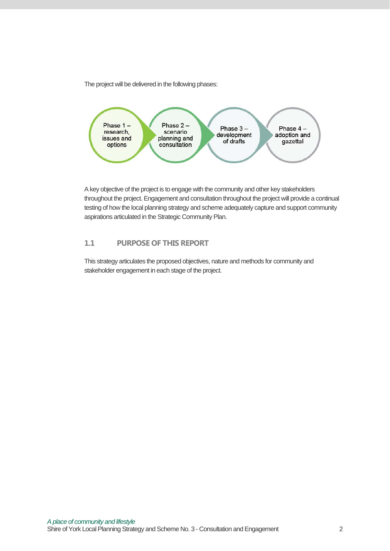The project will be delivered in the following phases:



A key objective of the project is to engage with the community and other key stakeholders throughout the project. Engagement and consultation throughout the project will provide a continual testing of how the local planning strategy and scheme adequately capture and support community aspirations articulated in the Strategic Community Plan.

#### **1.1 PURPOSE OF THIS REPORT**

This strategy articulates the proposed objectives, nature and methods for community and stakeholder engagement in each stage of the project.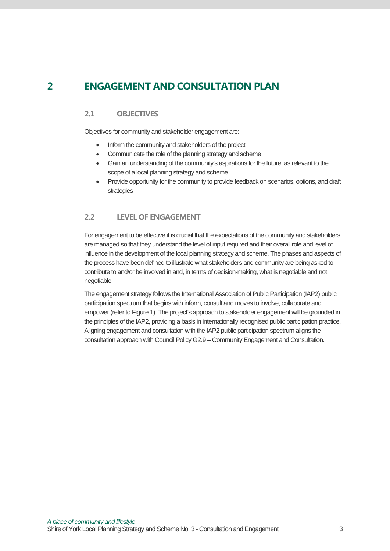## **2 ENGAGEMENT AND CONSULTATION PLAN**

#### **2.1 OBJECTIVES**

Objectives for community and stakeholder engagement are:

- Inform the community and stakeholders of the project
- Communicate the role of the planning strategy and scheme
- Gain an understanding of the community's aspirations for the future, as relevant to the scope of a local planning strategy and scheme
- Provide opportunity for the community to provide feedback on scenarios, options, and draft strategies

#### **2.2 LEVEL OF ENGAGEMENT**

For engagement to be effective it is crucial that the expectations of the community and stakeholders are managed so that they understand the level of input required and their overall role and level of influence in the development of the local planning strategy and scheme. The phases and aspects of the process have been defined to illustrate what stakeholders and community are being asked to contribute to and/or be involved in and, in terms of decision-making, what is negotiable and not negotiable.

The engagement strategy follows the International Association of Public Participation (IAP2) public participation spectrum that begins with inform, consult and moves to involve, collaborate and empower (refer to Figure 1). The project's approach to stakeholder engagement will be grounded in the principles of the IAP2, providing a basis in internationally recognised public participation practice. Aligning engagement and consultation with the IAP2 public participation spectrum aligns the consultation approach with Council Policy G2.9 – Community Engagement and Consultation.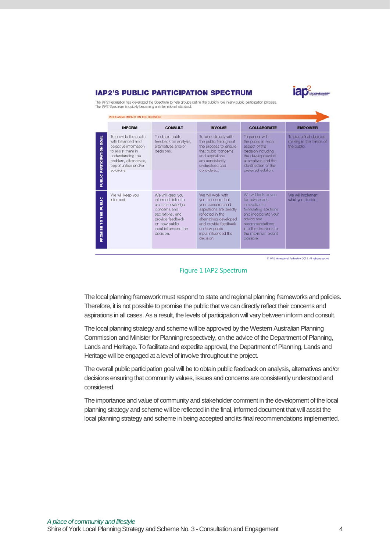#### **IAP2'S PUBLIC PARTICIPATION SPECTRUM**



The IAP2 Federation has developed the Spectrum to help groups define the public's role in any public participation process.<br>The IAP2 Spectrum is quickly becoming an international standard.

|                            | <b>INFORM</b>                                                                                                                                                                 | <b>CONSULT</b>                                                                                                                                                           | <b>INVOLVE</b>                                                                                                                                                                                                       | <b>COLLABORATE</b>                                                                                                                                                                                   | <b>EMPOWER</b>                                                   |
|----------------------------|-------------------------------------------------------------------------------------------------------------------------------------------------------------------------------|--------------------------------------------------------------------------------------------------------------------------------------------------------------------------|----------------------------------------------------------------------------------------------------------------------------------------------------------------------------------------------------------------------|------------------------------------------------------------------------------------------------------------------------------------------------------------------------------------------------------|------------------------------------------------------------------|
| PUBLIC PARTICIPATION GOAL  | To provide the public<br>with balanced and<br>objective information<br>to assist them in<br>understanding the<br>problem, alternatives,<br>opportunities and/or<br>solutions. | To obtain public<br>feedback on analysis,<br>alternatives and/or<br>decisions.                                                                                           | To work directly with<br>the public throughout<br>the process to ensure<br>that public concerns<br>and aspirations<br>are consistently<br>understood and<br>considered.                                              | To partner with<br>the public in each<br>aspect of the<br>decision including<br>the development of<br>alternatives and the<br>identification of the<br>preferred solution.                           | To place final decision<br>making in the hands of<br>the public. |
| THE PUBLIC<br>p<br>PROMISE | We will keep you<br>informed.                                                                                                                                                 | We will keep you<br>informed, listen to<br>and acknowledge<br>concerns and<br>aspirations, and<br>provide feedback<br>on how public<br>input influenced the<br>decision. | We will work with<br>you to ensure that<br>your concerns and<br>aspirations are directly<br>reflected in the<br>alternatives developed<br>and provide feedback<br>on how public<br>input influenced the<br>decision. | We will look to you<br>for advice and<br>innovation in<br>formulating solutions<br>and incorporate your<br>advice and<br>recommendations<br>into the decisions to<br>the maximum extent<br>possible. | We will implement<br>what you decide.                            |

C IAP2 International Federation 2014. All rights reserved.



The local planning framework must respond to state and regional planning frameworks and policies. Therefore, it is not possible to promise the public that we can directly reflect their concerns and aspirations in all cases. As a result, the levels of participation will vary between inform and consult.

The local planning strategy and scheme will be approved by the Western Australian Planning Commission and Minister for Planning respectively, on the advice of the Department of Planning, Lands and Heritage. To facilitate and expedite approval, the Department of Planning, Lands and Heritage will be engaged at a level of involve throughout the project.

The overall public participation goal will be to obtain public feedback on analysis, alternatives and/or decisions ensuring that community values, issues and concerns are consistently understood and considered.

The importance and value of community and stakeholder comment in the development of the local planning strategy and scheme will be reflected in the final, informed document that will assist the local planning strategy and scheme in being accepted and its final recommendations implemented.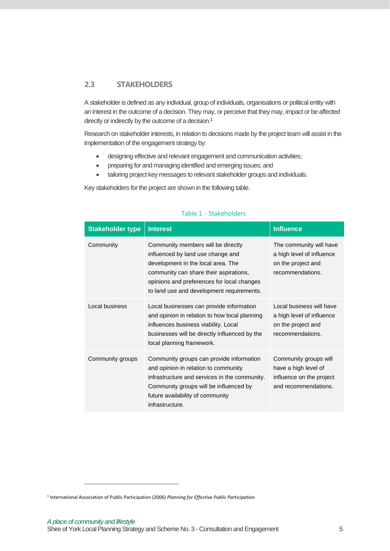#### **2.3 STAKEHOLDERS**

A stakeholder is defined as any individual, group of individuals, organisations or political entity with an interest in the outcome of a decision. They may, or perceive that they may, impact or be affected directly or indirectly by the outcome of a decision.<sup>1</sup>

Research on stakeholder interests, in relation to decisions made by the project team will assist in the implementation of the engagement strategy by:

- designing effective and relevant engagement and communication activities;
- preparing for and managing identified and emerging issues; and
- tailoring project key messages to relevant stakeholder groups and individuals.

Key stakeholders for the project are shown in the following table.

| <b>Stakeholder type</b> | <b>Interest</b>                                                                                                                                                                                                                                    | <b>Influence</b>                                                                                  |
|-------------------------|----------------------------------------------------------------------------------------------------------------------------------------------------------------------------------------------------------------------------------------------------|---------------------------------------------------------------------------------------------------|
| Community               | Community members will be directly<br>influenced by land use change and<br>development in the local area. The<br>community can share their aspirations,<br>opinions and preferences for local changes<br>to land use and development requirements. | The community will have<br>a high level of influence<br>on the project and<br>recommendations.    |
| Local business          | Local businesses can provide information<br>and opinion in relation to how local planning<br>influences business viability. Local<br>businesses will be directly influenced by the<br>local planning framework.                                    | Local business will have<br>a high level of influence<br>on the project and<br>recommendations.   |
| Community groups        | Community groups can provide information<br>and opinion in relation to community<br>infrastructure and services in the community.<br>Community groups will be influenced by<br>future availability of community<br>infrastructure.                 | Community groups will<br>have a high level of<br>influence on the project<br>and recommendations. |

#### Table 1 - Stakeholders

-

<sup>1</sup> International Association of Public Participation (2006) *Planning for Effective Public Participation*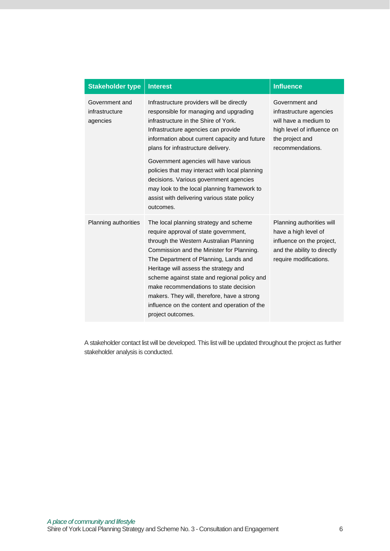| <b>Stakeholder type</b>                      | <b>Interest</b>                                                                                                                                                                                                                                                                                                                                                                                                                                                                                           | <b>Influence</b>                                                                                                                        |
|----------------------------------------------|-----------------------------------------------------------------------------------------------------------------------------------------------------------------------------------------------------------------------------------------------------------------------------------------------------------------------------------------------------------------------------------------------------------------------------------------------------------------------------------------------------------|-----------------------------------------------------------------------------------------------------------------------------------------|
| Government and<br>infrastructure<br>agencies | Infrastructure providers will be directly<br>responsible for managing and upgrading<br>infrastructure in the Shire of York.<br>Infrastructure agencies can provide<br>information about current capacity and future<br>plans for infrastructure delivery.<br>Government agencies will have various<br>policies that may interact with local planning<br>decisions. Various government agencies<br>may look to the local planning framework to<br>assist with delivering various state policy<br>outcomes. | Government and<br>infrastructure agencies<br>will have a medium to<br>high level of influence on<br>the project and<br>recommendations. |
| Planning authorities                         | The local planning strategy and scheme<br>require approval of state government,<br>through the Western Australian Planning<br>Commission and the Minister for Planning.<br>The Department of Planning, Lands and<br>Heritage will assess the strategy and<br>scheme against state and regional policy and<br>make recommendations to state decision<br>makers. They will, therefore, have a strong<br>influence on the content and operation of the<br>project outcomes.                                  | Planning authorities will<br>have a high level of<br>influence on the project,<br>and the ability to directly<br>require modifications. |

A stakeholder contact list will be developed. This list will be updated throughout the project as further stakeholder analysis is conducted.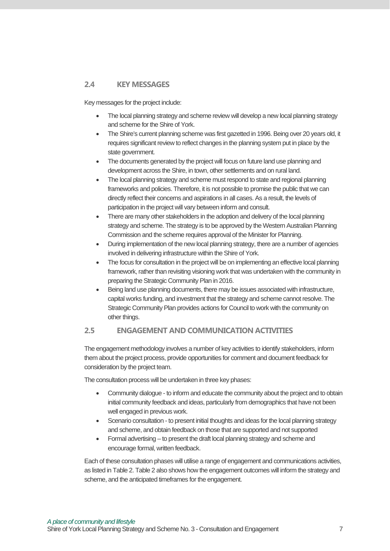#### **2.4 KEY MESSAGES**

Key messages for the project include:

- The local planning strategy and scheme review will develop a new local planning strategy and scheme for the Shire of York.
- The Shire's current planning scheme was first gazetted in 1996. Being over 20 years old, it requires significant review to reflect changes in the planning system put in place by the state government.
- The documents generated by the project will focus on future land use planning and development across the Shire, in town, other settlements and on rural land.
- The local planning strategy and scheme must respond to state and regional planning frameworks and policies. Therefore, it is not possible to promise the public that we can directly reflect their concerns and aspirations in all cases. As a result, the levels of participation in the project will vary between inform and consult.
- There are many other stakeholders in the adoption and delivery of the local planning strategy and scheme. The strategy is to be approved by the Western Australian Planning Commission and the scheme requires approval of the Minister for Planning.
- During implementation of the new local planning strategy, there are a number of agencies involved in delivering infrastructure within the Shire of York.
- The focus for consultation in the project will be on implementing an effective local planning framework, rather than revisiting visioning work that was undertaken with the community in preparing the Strategic Community Plan in 2016.
- Being land use planning documents, there may be issues associated with infrastructure, capital works funding, and investment that the strategy and scheme cannot resolve. The Strategic Community Plan provides actions for Council to work with the community on other things.

#### **2.5 ENGAGEMENT AND COMMUNICATION ACTIVITIES**

The engagement methodology involves a number of key activities to identify stakeholders, inform them about the project process, provide opportunities for comment and document feedback for consideration by the project team.

The consultation process will be undertaken in three key phases:

- Community dialogue to inform and educate the community about the project and to obtain initial community feedback and ideas, particularly from demographics that have not been well engaged in previous work.
- Scenario consultation to present initial thoughts and ideas for the local planning strategy and scheme, and obtain feedback on those that are supported and not supported
- Formal advertising to present the draft local planning strategy and scheme and encourage formal, written feedback.

Each of these consultation phases will utilise a range of engagement and communications activities, as listed in Table 2. Table 2 also shows how the engagement outcomes will inform the strategy and scheme, and the anticipated timeframes for the engagement.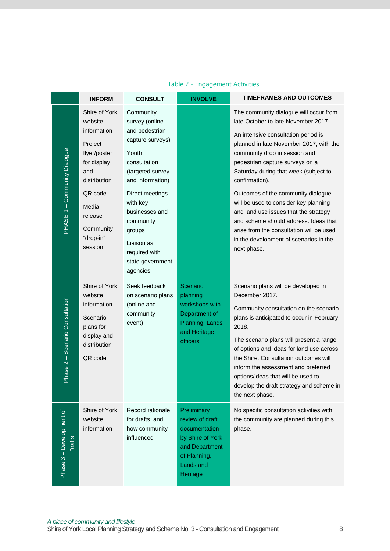|                                           | <b>INFORM</b>                                                                                                                                                                | <b>CONSULT</b>                                                                                                                                                                                                                                                            | <b>INVOLVE</b>                                                                                                                 | <b>TIMEFRAMES AND OUTCOMES</b>                                                                                                                                                                                                                                                                                                                                                                                                                                                                                                                                       |
|-------------------------------------------|------------------------------------------------------------------------------------------------------------------------------------------------------------------------------|---------------------------------------------------------------------------------------------------------------------------------------------------------------------------------------------------------------------------------------------------------------------------|--------------------------------------------------------------------------------------------------------------------------------|----------------------------------------------------------------------------------------------------------------------------------------------------------------------------------------------------------------------------------------------------------------------------------------------------------------------------------------------------------------------------------------------------------------------------------------------------------------------------------------------------------------------------------------------------------------------|
| PHASE 1 - Community Dialogue              | Shire of York<br>website<br>information<br>Project<br>flyer/poster<br>for display<br>and<br>distribution<br>QR code<br>Media<br>release<br>Community<br>"drop-in"<br>session | Community<br>survey (online<br>and pedestrian<br>capture surveys)<br>Youth<br>consultation<br>(targeted survey<br>and information)<br>Direct meetings<br>with key<br>businesses and<br>community<br>groups<br>Liaison as<br>required with<br>state government<br>agencies |                                                                                                                                | The community dialogue will occur from<br>late-October to late-November 2017.<br>An intensive consultation period is<br>planned in late November 2017, with the<br>community drop in session and<br>pedestrian capture surveys on a<br>Saturday during that week (subject to<br>confirmation).<br>Outcomes of the community dialogue<br>will be used to consider key planning<br>and land use issues that the strategy<br>and scheme should address. Ideas that<br>arise from the consultation will be used<br>in the development of scenarios in the<br>next phase. |
| Scenario Consultation<br>$Phase 2 -$      | Shire of York<br>website<br>information<br>Scenario<br>plans for<br>display and<br>distribution<br>QR code                                                                   | Seek feedback<br>on scenario plans<br>(online and<br>community<br>event)                                                                                                                                                                                                  | Scenario<br>planning<br>workshops with<br>Department of<br>Planning, Lands<br>and Heritage<br>officers                         | Scenario plans will be developed in<br>December 2017.<br>Community consultation on the scenario<br>plans is anticipated to occur in February<br>2018.<br>The scenario plans will present a range<br>of options and ideas for land use across<br>the Shire. Consultation outcomes will<br>inform the assessment and preferred<br>options/ideas that will be used to<br>develop the draft strategy and scheme in<br>the next phase.                                                                                                                                    |
| Phase 3 - Development of<br><b>Drafts</b> | Shire of York<br>website<br>information                                                                                                                                      | Record rationale<br>for drafts, and<br>how community<br>influenced                                                                                                                                                                                                        | Preliminary<br>review of draft<br>documentation<br>by Shire of York<br>and Department<br>of Planning,<br>Lands and<br>Heritage | No specific consultation activities with<br>the community are planned during this<br>phase.                                                                                                                                                                                                                                                                                                                                                                                                                                                                          |

### Table 2 - Engagement Activities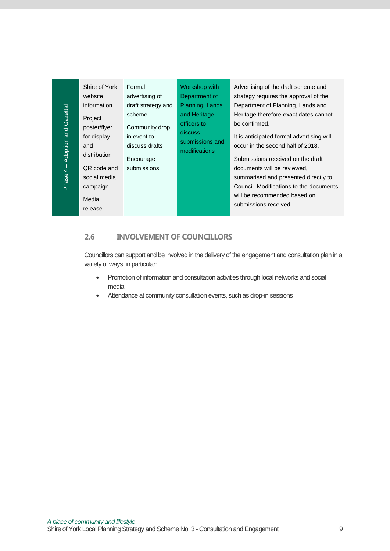| Shire of York<br>Formal<br>Workshop with<br>Advertising of the draft scheme and<br>website<br>Department of<br>strategy requires the approval of the<br>advertising of<br>information<br>Planning, Lands<br>Department of Planning, Lands and<br>draft strategy and<br>Phase 4 - Adoption and Gazettal<br>scheme<br>and Heritage<br>Heritage therefore exact dates cannot<br>Project<br>officers to<br>be confirmed.<br>poster/flyer<br>Community drop<br>discuss<br>for display<br>in event to<br>It is anticipated formal advertising will<br>submissions and<br>occur in the second half of 2018.<br>and<br>discuss drafts<br>modifications<br>distribution<br>Submissions received on the draft<br>Encourage<br>submissions<br>QR code and<br>documents will be reviewed,<br>social media<br>summarised and presented directly to<br>Council. Modifications to the documents<br>campaign<br>will be recommended based on<br>Media<br>submissions received.<br>release<br>2.6<br><b>INVOLVEMENT OF COUNCILLORS</b><br>Councillors can support and be involved in the delivery of the engagement and consultation plan in a<br>variety of ways, in particular:<br>Promotion of information and consultation activities through local networks and social<br>$\bullet$<br>media<br>Attendance at community consultation events, such as drop-in sessions<br>A place of community and lifestyle<br>Shire of York Local Planning Strategy and Scheme No. 3 - Consultation and Engagement |  |  |   |
|-----------------------------------------------------------------------------------------------------------------------------------------------------------------------------------------------------------------------------------------------------------------------------------------------------------------------------------------------------------------------------------------------------------------------------------------------------------------------------------------------------------------------------------------------------------------------------------------------------------------------------------------------------------------------------------------------------------------------------------------------------------------------------------------------------------------------------------------------------------------------------------------------------------------------------------------------------------------------------------------------------------------------------------------------------------------------------------------------------------------------------------------------------------------------------------------------------------------------------------------------------------------------------------------------------------------------------------------------------------------------------------------------------------------------------------------------------------------------------------------|--|--|---|
|                                                                                                                                                                                                                                                                                                                                                                                                                                                                                                                                                                                                                                                                                                                                                                                                                                                                                                                                                                                                                                                                                                                                                                                                                                                                                                                                                                                                                                                                                         |  |  |   |
|                                                                                                                                                                                                                                                                                                                                                                                                                                                                                                                                                                                                                                                                                                                                                                                                                                                                                                                                                                                                                                                                                                                                                                                                                                                                                                                                                                                                                                                                                         |  |  |   |
|                                                                                                                                                                                                                                                                                                                                                                                                                                                                                                                                                                                                                                                                                                                                                                                                                                                                                                                                                                                                                                                                                                                                                                                                                                                                                                                                                                                                                                                                                         |  |  |   |
|                                                                                                                                                                                                                                                                                                                                                                                                                                                                                                                                                                                                                                                                                                                                                                                                                                                                                                                                                                                                                                                                                                                                                                                                                                                                                                                                                                                                                                                                                         |  |  |   |
|                                                                                                                                                                                                                                                                                                                                                                                                                                                                                                                                                                                                                                                                                                                                                                                                                                                                                                                                                                                                                                                                                                                                                                                                                                                                                                                                                                                                                                                                                         |  |  |   |
|                                                                                                                                                                                                                                                                                                                                                                                                                                                                                                                                                                                                                                                                                                                                                                                                                                                                                                                                                                                                                                                                                                                                                                                                                                                                                                                                                                                                                                                                                         |  |  |   |
|                                                                                                                                                                                                                                                                                                                                                                                                                                                                                                                                                                                                                                                                                                                                                                                                                                                                                                                                                                                                                                                                                                                                                                                                                                                                                                                                                                                                                                                                                         |  |  |   |
|                                                                                                                                                                                                                                                                                                                                                                                                                                                                                                                                                                                                                                                                                                                                                                                                                                                                                                                                                                                                                                                                                                                                                                                                                                                                                                                                                                                                                                                                                         |  |  |   |
|                                                                                                                                                                                                                                                                                                                                                                                                                                                                                                                                                                                                                                                                                                                                                                                                                                                                                                                                                                                                                                                                                                                                                                                                                                                                                                                                                                                                                                                                                         |  |  |   |
|                                                                                                                                                                                                                                                                                                                                                                                                                                                                                                                                                                                                                                                                                                                                                                                                                                                                                                                                                                                                                                                                                                                                                                                                                                                                                                                                                                                                                                                                                         |  |  |   |
|                                                                                                                                                                                                                                                                                                                                                                                                                                                                                                                                                                                                                                                                                                                                                                                                                                                                                                                                                                                                                                                                                                                                                                                                                                                                                                                                                                                                                                                                                         |  |  |   |
|                                                                                                                                                                                                                                                                                                                                                                                                                                                                                                                                                                                                                                                                                                                                                                                                                                                                                                                                                                                                                                                                                                                                                                                                                                                                                                                                                                                                                                                                                         |  |  |   |
|                                                                                                                                                                                                                                                                                                                                                                                                                                                                                                                                                                                                                                                                                                                                                                                                                                                                                                                                                                                                                                                                                                                                                                                                                                                                                                                                                                                                                                                                                         |  |  |   |
|                                                                                                                                                                                                                                                                                                                                                                                                                                                                                                                                                                                                                                                                                                                                                                                                                                                                                                                                                                                                                                                                                                                                                                                                                                                                                                                                                                                                                                                                                         |  |  |   |
|                                                                                                                                                                                                                                                                                                                                                                                                                                                                                                                                                                                                                                                                                                                                                                                                                                                                                                                                                                                                                                                                                                                                                                                                                                                                                                                                                                                                                                                                                         |  |  |   |
|                                                                                                                                                                                                                                                                                                                                                                                                                                                                                                                                                                                                                                                                                                                                                                                                                                                                                                                                                                                                                                                                                                                                                                                                                                                                                                                                                                                                                                                                                         |  |  |   |
|                                                                                                                                                                                                                                                                                                                                                                                                                                                                                                                                                                                                                                                                                                                                                                                                                                                                                                                                                                                                                                                                                                                                                                                                                                                                                                                                                                                                                                                                                         |  |  |   |
|                                                                                                                                                                                                                                                                                                                                                                                                                                                                                                                                                                                                                                                                                                                                                                                                                                                                                                                                                                                                                                                                                                                                                                                                                                                                                                                                                                                                                                                                                         |  |  |   |
|                                                                                                                                                                                                                                                                                                                                                                                                                                                                                                                                                                                                                                                                                                                                                                                                                                                                                                                                                                                                                                                                                                                                                                                                                                                                                                                                                                                                                                                                                         |  |  | 9 |

#### **2.6 INVOLVEMENT OF COUNCILLORS**

- Promotion of information and consultation activities through local networks and social media
- Attendance at community consultation events, such as drop-in sessions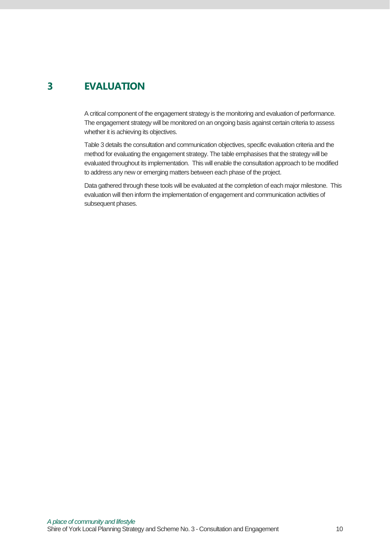## **3 EVALUATION**

A critical component of the engagement strategy is the monitoring and evaluation of performance. The engagement strategy will be monitored on an ongoing basis against certain criteria to assess whether it is achieving its objectives.

Table 3 details the consultation and communication objectives, specific evaluation criteria and the method for evaluating the engagement strategy. The table emphasises that the strategy will be evaluated throughout its implementation. This will enable the consultation approach to be modified to address any new or emerging matters between each phase of the project.

Data gathered through these tools will be evaluated at the completion of each major milestone. This evaluation will then inform the implementation of engagement and communication activities of subsequent phases.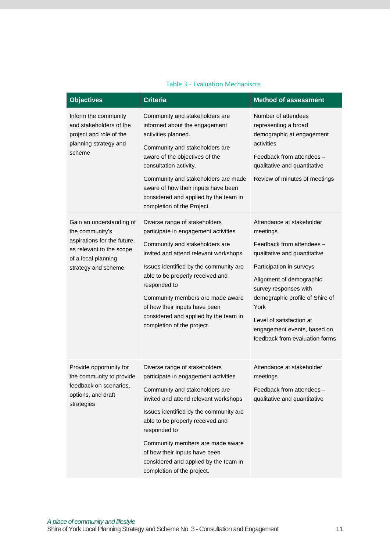| <b>Objectives</b>                                                                                                                                    | <b>Criteria</b>                                                                                                                                                                                                                                                                                                                                                                            | <b>Method of assessment</b>                                                                                                                                                                                                                                                                                                 |
|------------------------------------------------------------------------------------------------------------------------------------------------------|--------------------------------------------------------------------------------------------------------------------------------------------------------------------------------------------------------------------------------------------------------------------------------------------------------------------------------------------------------------------------------------------|-----------------------------------------------------------------------------------------------------------------------------------------------------------------------------------------------------------------------------------------------------------------------------------------------------------------------------|
| Inform the community<br>and stakeholders of the<br>project and role of the<br>planning strategy and<br>scheme                                        | Community and stakeholders are<br>informed about the engagement<br>activities planned.<br>Community and stakeholders are<br>aware of the objectives of the<br>consultation activity.<br>Community and stakeholders are made<br>aware of how their inputs have been<br>considered and applied by the team in<br>completion of the Project.                                                  | Number of attendees<br>representing a broad<br>demographic at engagement<br>activities<br>Feedback from attendees -<br>qualitative and quantitative<br>Review of minutes of meetings                                                                                                                                        |
| Gain an understanding of<br>the community's<br>aspirations for the future,<br>as relevant to the scope<br>of a local planning<br>strategy and scheme | Diverse range of stakeholders<br>participate in engagement activities<br>Community and stakeholders are<br>invited and attend relevant workshops<br>Issues identified by the community are<br>able to be properly received and<br>responded to<br>Community members are made aware<br>of how their inputs have been<br>considered and applied by the team in<br>completion of the project. | Attendance at stakeholder<br>meetings<br>Feedback from attendees -<br>qualitative and quantitative<br>Participation in surveys<br>Alignment of demographic<br>survey responses with<br>demographic profile of Shire of<br>York<br>Level of satisfaction at<br>engagement events, based on<br>feedback from evaluation forms |
| Provide opportunity for<br>the community to provide<br>feedback on scenarios,<br>options, and draft<br>strategies                                    | Diverse range of stakeholders<br>participate in engagement activities<br>Community and stakeholders are<br>invited and attend relevant workshops<br>Issues identified by the community are<br>able to be properly received and<br>responded to<br>Community members are made aware<br>of how their inputs have been<br>considered and applied by the team in<br>completion of the project. | Attendance at stakeholder<br>meetings<br>Feedback from attendees -<br>qualitative and quantitative                                                                                                                                                                                                                          |

#### Table 3 - Evaluation Mechanisms